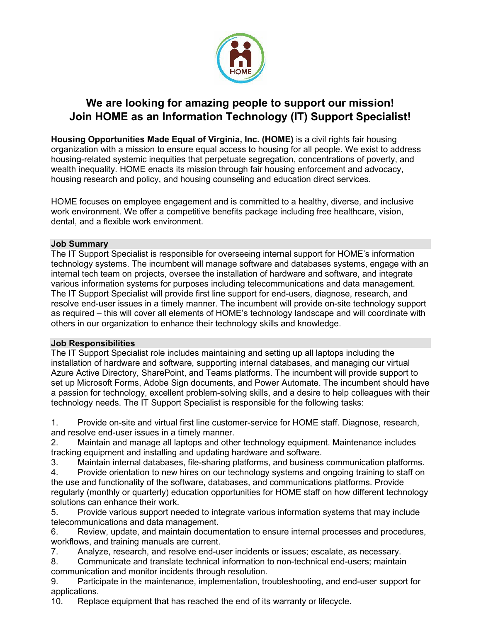

# **We are looking for amazing people to support our mission! Join HOME as an Information Technology (IT) Support Specialist!**

**Housing Opportunities Made Equal of Virginia, Inc. (HOME)** is a civil rights fair housing organization with a mission to ensure equal access to housing for all people. We exist to address housing-related systemic inequities that perpetuate segregation, concentrations of poverty, and wealth inequality. HOME enacts its mission through fair housing enforcement and advocacy, housing research and policy, and housing counseling and education direct services.

HOME focuses on employee engagement and is committed to a healthy, diverse, and inclusive work environment. We offer a competitive benefits package including free healthcare, vision, dental, and a flexible work environment.

# **Job Summary**

The IT Support Specialist is responsible for overseeing internal support for HOME's information technology systems. The incumbent will manage software and databases systems, engage with an internal tech team on projects, oversee the installation of hardware and software, and integrate various information systems for purposes including telecommunications and data management. The IT Support Specialist will provide first line support for end-users, diagnose, research, and resolve end-user issues in a timely manner. The incumbent will provide on-site technology support as required – this will cover all elements of HOME's technology landscape and will coordinate with others in our organization to enhance their technology skills and knowledge.

# **Job Responsibilities**

The IT Support Specialist role includes maintaining and setting up all laptops including the installation of hardware and software, supporting internal databases, and managing our virtual Azure Active Directory, SharePoint, and Teams platforms. The incumbent will provide support to set up Microsoft Forms, Adobe Sign documents, and Power Automate. The incumbent should have a passion for technology, excellent problem-solving skills, and a desire to help colleagues with their technology needs. The IT Support Specialist is responsible for the following tasks:

1. Provide on-site and virtual first line customer-service for HOME staff. Diagnose, research, and resolve end-user issues in a timely manner.

2. Maintain and manage all laptops and other technology equipment. Maintenance includes tracking equipment and installing and updating hardware and software.

3. Maintain internal databases, file-sharing platforms, and business communication platforms. 4. Provide orientation to new hires on our technology systems and ongoing training to staff on the use and functionality of the software, databases, and communications platforms. Provide regularly (monthly or quarterly) education opportunities for HOME staff on how different technology solutions can enhance their work.

5. Provide various support needed to integrate various information systems that may include telecommunications and data management.

6. Review, update, and maintain documentation to ensure internal processes and procedures, workflows, and training manuals are current.

7. Analyze, research, and resolve end-user incidents or issues; escalate, as necessary.

8. Communicate and translate technical information to non-technical end-users; maintain communication and monitor incidents through resolution.

9. Participate in the maintenance, implementation, troubleshooting, and end-user support for applications.

10. Replace equipment that has reached the end of its warranty or lifecycle.